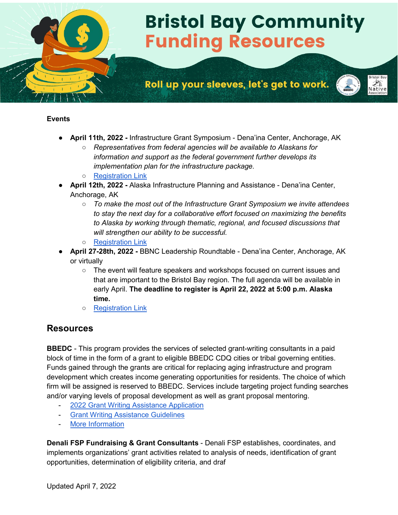# **Bristol Bay Community Funding Resources**

# Roll up your sleeves, let's get to work.



#### **Events**

- **April 11th, 2022** Infrastructure Grant Symposium Dena'ina Center, Anchorage, AK
	- *Representatives from federal agencies will be available to Alaskans for information and support as the federal government further develops its implementation plan for the infrastructure package.*
	- [Registration Link](https://www.murkowski.senate.gov/infrastructure-grant-symposium)
- **April 12th, 2022** Alaska Infrastructure Planning and Assistance Dena'ina Center, Anchorage, AK
	- *To make the most out of the Infrastructure Grant Symposium we invite attendees to stay the next day for a collaborative effort focused on maximizing the benefits to Alaska by working through thematic, regional, and focused discussions that will strengthen our ability to be successful.*
	- [Registration Link](https://akfederalfunding.org/grants-symposium/)
- **April 27-28th, 2022** BBNC Leadership Roundtable Dena'ina Center, Anchorage, AK or virtually
	- The event will feature speakers and workshops focused on current issues and that are important to the Bristol Bay region. The full agenda will be available in early April. **The deadline to register is April 22, 2022 at 5:00 p.m. Alaska time.**
	- [Registration Link](https://www.bbnc.net/2022-bristol-bay-leadership-roundtable/)

## **Resources**

**BBEDC** - This program provides the services of selected grant-writing consultants in a paid block of time in the form of a grant to eligible BBEDC CDQ cities or tribal governing entities. Funds gained through the grants are critical for replacing aging infrastructure and program development which creates income generating opportunities for residents. The choice of which firm will be assigned is reserved to BBEDC. Services include targeting project funding searches and/or varying levels of proposal development as well as grant proposal mentoring.

- [2022 Grant Writing Assistance Application](https://www.bbedc.com/wp-content/uploads/2022/01/2022-Grant-Writing-Assistance-Application-fillable.pdf)
- [Grant Writing Assistance Guidelines](https://www.bbedc.com/wp-content/uploads/2020/01/GWA-Guidelines-12-19.pdf)
- [More Information](https://www.bbedc.com/?page_id=210)

**Denali FSP Fundraising & Grant Consultants** - Denali FSP establishes, coordinates, and implements organizations' grant activities related to analysis of needs, identification of grant opportunities, determination of eligibility criteria, and draf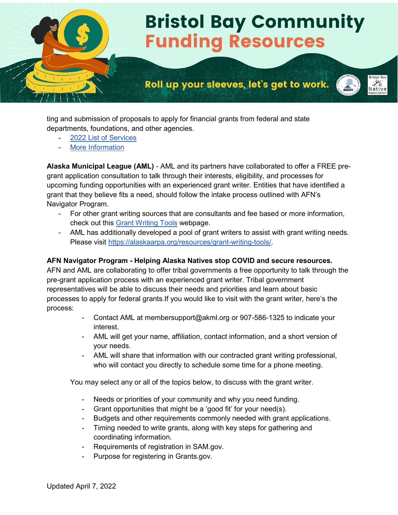

ting and submission of proposals to apply for financial grants from federal and state departments, foundations, and other agencies.

- 2022 List of Services
- [More Information](https://denalifsp.com/grant-management-services/)

**Alaska Municipal League (AML)** - AML and its partners have collaborated to offer a FREE pregrant application consultation to talk through their interests, eligibility, and processes for upcoming funding opportunities with an experienced grant writer. Entities that have identified a grant that they believe fits a need, should follow the intake process outlined with AFN's Navigator Program.

- For other grant writing sources that are consultants and fee based or more information, check out this [Grant Writing Tools](https://alaskaarpa.org/resources/grant-writing-tools/) webpage.
- AML has additionally developed a pool of grant writers to assist with grant writing needs. Please visi[t](https://nativefederation.us7.list-manage.com/track/click?u=ae5180eeb8bd15ef35cebf021&id=b5cb53f0a5&e=84cdc75a67) [https://alaskaarpa.org/resources/grant-writing-tools/.](https://nativefederation.us7.list-manage.com/track/click?u=ae5180eeb8bd15ef35cebf021&id=b5cb53f0a5&e=84cdc75a67)

#### **AFN Navigator Program - Helping Alaska Natives stop COVID and secure resources.**

AFN and AML are collaborating to offer tribal governments a free opportunity to talk through the pre-grant application process with an experienced grant writer. Tribal government representatives will be able to discuss their needs and priorities and learn about basic processes to apply for federal grants.If you would like to visit with the grant writer, here's the process:

- Contact AML at membersupport@akml.org or 907-586-1325 to indicate your interest.
- AML will get your name, affiliation, contact information, and a short version of your needs.
- AML will share that information with our contracted grant writing professional, who will contact you directly to schedule some time for a phone meeting.

You may select any or all of the topics below, to discuss with the grant writer.

- Needs or priorities of your community and why you need funding.
- Grant opportunities that might be a 'good fit' for your need(s).
- Budgets and other requirements commonly needed with grant applications.
- Timing needed to write grants, along with key steps for gathering and coordinating information.
- Requirements of registration in SAM.gov.
- Purpose for registering in Grants.gov.